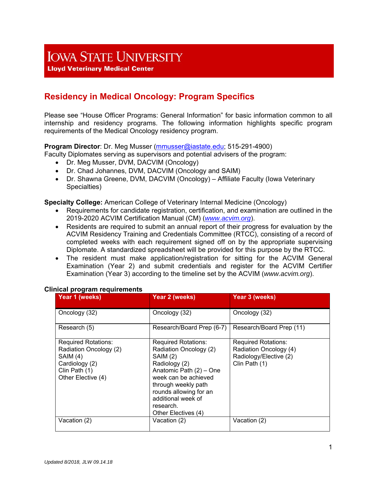# **IOWA STATE UNIVERSITY**

**Lloyd Veterinary Medical Center** 

# **Residency in Medical Oncology: Program Specifics**

Please see "House Officer Programs: General Information" for basic information common to all internship and residency programs. The following information highlights specific program requirements of the Medical Oncology residency program.

# **Program Director**: Dr. Meg Musser (mmusser@iastate.edu; 515-291-4900)

Faculty Diplomates serving as supervisors and potential advisers of the program:

- Dr. Meg Musser, DVM, DACVIM (Oncology)
- Dr. Chad Johannes, DVM, DACVIM (Oncology and SAIM)
- Dr. Shawna Greene, DVM, DACVIM (Oncology) Affiliate Faculty (Iowa Veterinary Specialties)

**Specialty College:** American College of Veterinary Internal Medicine (Oncology)

- Requirements for candidate registration, certification, and examination are outlined in the 2019-2020 ACVIM Certification Manual (CM) (*www.acvim.org*).
- Residents are required to submit an annual report of their progress for evaluation by the ACVIM Residency Training and Credentials Committee (RTCC), consisting of a record of completed weeks with each requirement signed off on by the appropriate supervising Diplomate. A standardized spreadsheet will be provided for this purpose by the RTCC.
- The resident must make application/registration for sitting for the ACVIM General Examination (Year 2) and submit credentials and register for the ACVIM Certifier Examination (Year 3) according to the timeline set by the ACVIM (*www.acvim.org*).

| Year 1 (weeks)                                                                                                            | Year 2 (weeks)                                                                                                                                                                                                                                  | <b>Year 3 (weeks)</b>                                                                           |
|---------------------------------------------------------------------------------------------------------------------------|-------------------------------------------------------------------------------------------------------------------------------------------------------------------------------------------------------------------------------------------------|-------------------------------------------------------------------------------------------------|
| Oncology (32)                                                                                                             | Oncology (32)                                                                                                                                                                                                                                   | Oncology (32)                                                                                   |
| Research (5)                                                                                                              | Research/Board Prep (6-7)                                                                                                                                                                                                                       | Research/Board Prep (11)                                                                        |
| <b>Required Rotations:</b><br>Radiation Oncology (2)<br>SAIM (4)<br>Cardiology (2)<br>Clin Path (1)<br>Other Elective (4) | <b>Required Rotations:</b><br>Radiation Oncology (2)<br>SAIM (2)<br>Radiology (2)<br>Anatomic Path (2) - One<br>week can be achieved<br>through weekly path<br>rounds allowing for an<br>additional week of<br>research.<br>Other Electives (4) | <b>Required Rotations:</b><br>Radiation Oncology (4)<br>Radiology/Elective (2)<br>Clin Path (1) |
| Vacation (2)                                                                                                              | Vacation (2)                                                                                                                                                                                                                                    | Vacation (2)                                                                                    |

#### **Clinical program requirements**